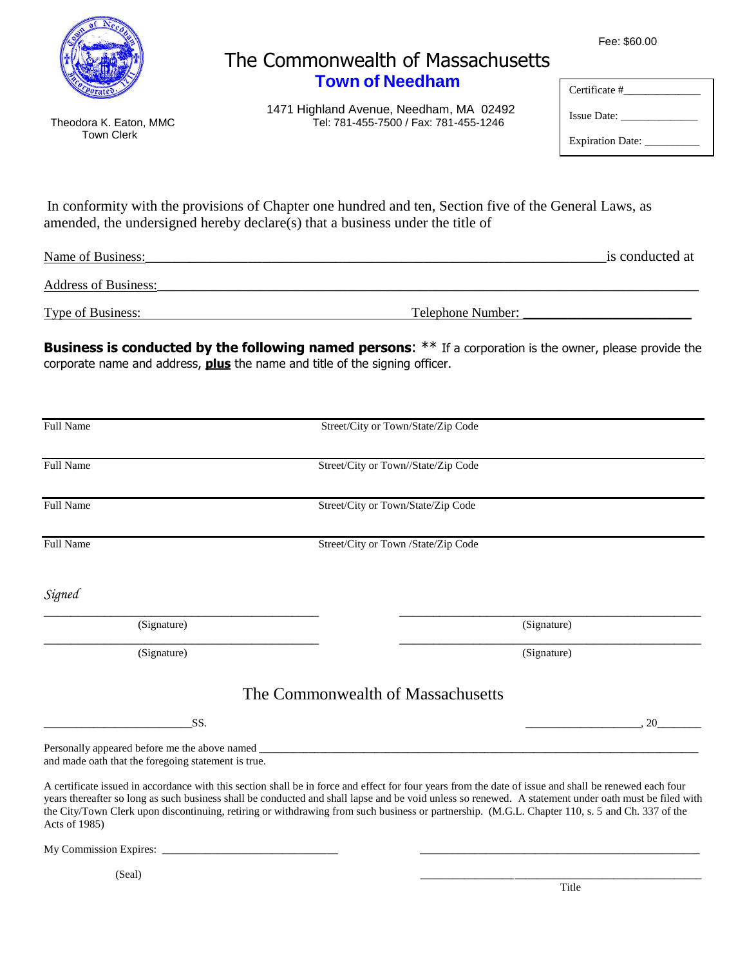

Town Clerk

## The Commonwealth of Massachusetts **Town of Needham**

1471 Highland Avenue, Needham, MA 02492<br>Tel: 781-455-7500 / Fax: 781-455-1246 Tel: 781-455-7500 / Fax: 781-455-1246

| Fee: \$60.00 |  |
|--------------|--|
|--------------|--|

Certificate #\_\_\_\_\_\_\_\_\_\_\_\_\_\_ Issue Date: \_\_\_\_\_\_\_\_\_\_\_\_\_\_ Expiration Date:

In conformity with the provisions of Chapter one hundred and ten, Section five of the General Laws, as amended, the undersigned hereby declare(s) that a business under the title of

| Name of Business:        | is conducted at   |
|--------------------------|-------------------|
| Address of Business:     |                   |
| <b>Type of Business:</b> | Telephone Number: |

**Business is conducted by the following named persons:** \*\* If a corporation is the owner, please provide the corporate name and address, **plus** the name and title of the signing officer.

| <b>Full Name</b>                                    | Street/City or Town/State/Zip Code                                                                                                                                                                                                                                                                                                                                                                                                                                 |
|-----------------------------------------------------|--------------------------------------------------------------------------------------------------------------------------------------------------------------------------------------------------------------------------------------------------------------------------------------------------------------------------------------------------------------------------------------------------------------------------------------------------------------------|
| Full Name                                           | Street/City or Town//State/Zip Code                                                                                                                                                                                                                                                                                                                                                                                                                                |
| Full Name                                           | Street/City or Town/State/Zip Code                                                                                                                                                                                                                                                                                                                                                                                                                                 |
| Full Name                                           | Street/City or Town /State/Zip Code                                                                                                                                                                                                                                                                                                                                                                                                                                |
| Signed                                              |                                                                                                                                                                                                                                                                                                                                                                                                                                                                    |
| (Signature)                                         | (Signature)                                                                                                                                                                                                                                                                                                                                                                                                                                                        |
| (Signature)                                         | (Signature)                                                                                                                                                                                                                                                                                                                                                                                                                                                        |
|                                                     | The Commonwealth of Massachusetts                                                                                                                                                                                                                                                                                                                                                                                                                                  |
| SS.                                                 | 20                                                                                                                                                                                                                                                                                                                                                                                                                                                                 |
| and made oath that the foregoing statement is true. | Personally appeared before me the above named ___________________________________                                                                                                                                                                                                                                                                                                                                                                                  |
| Acts of 1985)                                       | A certificate issued in accordance with this section shall be in force and effect for four years from the date of issue and shall be renewed each four<br>years thereafter so long as such business shall be conducted and shall lapse and be void unless so renewed. A statement under oath must be filed with<br>the City/Town Clerk upon discontinuing, retiring or withdrawing from such business or partnership. (M.G.L. Chapter 110, s. 5 and Ch. 337 of the |
|                                                     |                                                                                                                                                                                                                                                                                                                                                                                                                                                                    |
| (Seal)                                              |                                                                                                                                                                                                                                                                                                                                                                                                                                                                    |